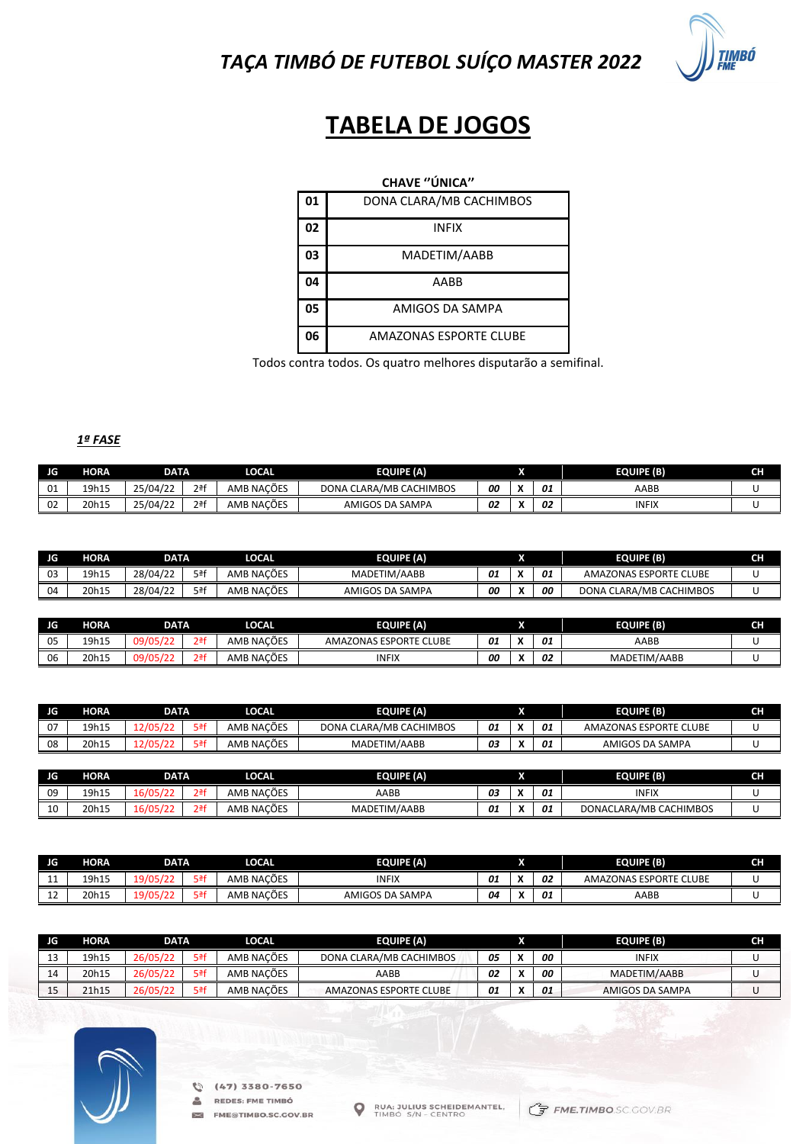*TAÇA TIMBÓ DE FUTEBOL SUÍÇO MASTER 2022*



# **TABELA DE JOGOS**

### **CHAVE ''ÚNICA''**

| 01 | DONA CLARA/MB CACHIMBOS       |
|----|-------------------------------|
| 02 | <b>INFIX</b>                  |
| 03 | MADETIM/AABB                  |
| 04 | AABB                          |
| 05 | AMIGOS DA SAMPA               |
| 06 | <b>AMAZONAS ESPORTE CLUBE</b> |

Todos contra todos. Os quatro melhores disputarão a semifinal.

#### *1ª FASE*

| JG. | HORA  | DATA     |        | LOCAL      | <b>EQUIPE (A)</b>                 | 灬  |  |    | <b>EQUIPE (B)</b> | cц<br>чп |
|-----|-------|----------|--------|------------|-----------------------------------|----|--|----|-------------------|----------|
| 01  | 19h15 | 25/04/22 | $2a$ f | AMB NACÕES | <b>CLARA/MB CACHIMBOS</b><br>DONA | 00 |  | 01 | AABB              |          |
| 02  | 20h15 | 25/04/22 | $2a$ f | AMB NACÕES | <b>SAMPA</b><br>AMIGOS DA         | 02 |  | 02 | <b>INFIX</b>      |          |

| JG | <b>HORA</b> | DATA     |     | LOCAL      | <b>EQUIPE (A)</b> |                    |  |    | <b>EQUIPE (B)</b>            | cш<br>. . |
|----|-------------|----------|-----|------------|-------------------|--------------------|--|----|------------------------------|-----------|
| 03 | 19h15       | 28/04/22 | 5ªf | AMB NACÕES | MADETIM/AABB      | $\mathbf{A}$<br>U. |  | 01 | AMAZONAS ESPORTE CLUBE       |           |
| 04 | 20h15       | 28/04/22 | 5ªf | AMB NACÕES | AMIGOS DA SAMPA   | 00                 |  | 00 | A CLARA/MB CACHIMBOS<br>DONA |           |

| - IG | <b>HORA</b> | <b>DATA</b> |                  | <b>LOCAL</b> | <b>EQUIPE (A)</b>      |    |  |    | <b>EQUIPE (B)</b> | CH |
|------|-------------|-------------|------------------|--------------|------------------------|----|--|----|-------------------|----|
| 05   | 19h15       | 09/         | 2 <sup>a</sup> f | AMB NACÕES   | AMAZONAS ESPORTE CLUBE | 01 |  | 01 | AABB              |    |
| 06   | 20h15       | ر09         | 2ªf              | AMB NACÕES   | <b>INFIX</b>           | 00 |  | 02 | MADETIM/AABB      |    |

| JG  | HORA  | <b>DATA</b> |                  | <b>LOCAL</b> | <b>EQUIPE (A)</b>       |    |              |    | <b>EQUIPE (B)</b>      | <b>CH</b> |
|-----|-------|-------------|------------------|--------------|-------------------------|----|--------------|----|------------------------|-----------|
| 07  | 19h15 | 12/05/22    | 5ªf              | AMB NACÕES   | DONA CLARA/MB CACHIMBOS | 01 |              | 01 | AMAZONAS ESPORTE CLUBE |           |
| 08  | 20h15 | 12/05/22    | 5ªf              | AMB NACÕES   | MADETIM/AABB            | 03 |              | 01 | AMIGOS DA SAMPA        |           |
|     |       |             |                  |              |                         |    |              |    |                        |           |
| JG. | HORA  | <b>DATA</b> |                  | <b>LOCAL</b> | <b>EQUIPE (A)</b>       |    |              |    | <b>EQUIPE (B)</b>      | <b>CH</b> |
| 09  | 19h15 | 16/05/22    | 2 <sup>a</sup> f | AMB NACÕES   | AABB                    | 03 | $\mathbf{v}$ | 01 | <b>INFIX</b>           |           |
| 10  | 20h15 | 16/05/22    | 2 <sup>a</sup> f | AMB NACÕES   | MADETIM/AABB            | 01 |              | 01 | DONACLARA/MB CACHIMBOS |           |

| JG.                 | <b>ORA</b> | DATA          |     | <b>LOCAL</b> | <b>EQUIPE (A)</b>      |    |                                                  |    | <b>EQUIPE (B)</b>      | CH |
|---------------------|------------|---------------|-----|--------------|------------------------|----|--------------------------------------------------|----|------------------------|----|
| . .                 | 19h15      | 10/0          | ⊏af | AMB NACÕES   | <b>INFIX</b>           | 01 | $\overline{\phantom{a}}$<br>A                    | 02 | AMAZONAS ESPORTE CLUBE |    |
| $\sim$<br><u>__</u> | 20h15      | 10/0 <b>1</b> | ⊏af | AMB NACÕES   | AMIGOS I<br>S DA SAMPA | 04 | $\ddot{\phantom{1}}$<br>$\overline{\phantom{a}}$ | 01 | AABB                   |    |

| JG. | HORA  | DATA     |     | LOCAL      | <b>EQUIPE (A)</b>       |    |  |    | <b>EQUIPE (B)</b> | CH |
|-----|-------|----------|-----|------------|-------------------------|----|--|----|-------------------|----|
| ∸~  | 19h15 | 26/05/22 | 5ªf | AMB NACÕES | DONA CLARA/MB CACHIMBOS | 05 |  | 00 | INFIX             |    |
| 14  | 20h15 | 26/05/22 | 5ªf | AMB NACÕES | AABB                    | 02 |  | 00 | MADETIM/AABB      |    |
| --  | 21h15 | 26/05/22 | 5ªf | AMB NACÕES | AMAZONAS ESPORTE CLUBE  | 01 |  | 01 | AMIGOS DA SAMPA   |    |



 $\geq$